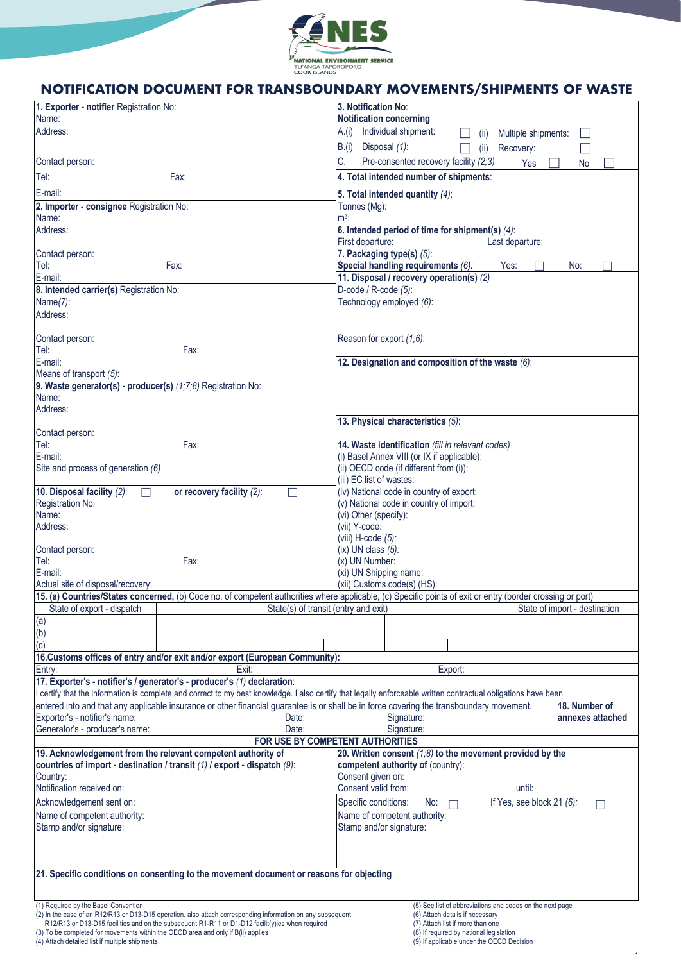

# **Notification document for transboundary movements/shipments of waste NOTIFICATION DOCUMENT FOR TRANSBOUNDARY MOVEMENTS/SHIPMENTS OF WASTE**

| 1. Exporter - notifier Registration No:                                                                                                                                                         |                           |                                      | 3. Notification No:                         |                                                                                             |                             |                               |  |
|-------------------------------------------------------------------------------------------------------------------------------------------------------------------------------------------------|---------------------------|--------------------------------------|---------------------------------------------|---------------------------------------------------------------------------------------------|-----------------------------|-------------------------------|--|
| Name:                                                                                                                                                                                           |                           |                                      | <b>Notification concerning</b>              |                                                                                             |                             |                               |  |
| Address:                                                                                                                                                                                        |                           |                                      |                                             | A.(i) Individual shipment:<br>(11)                                                          | Multiple shipments:         |                               |  |
|                                                                                                                                                                                                 |                           |                                      | B.(i) Disposal (1):                         | (ii)                                                                                        | Recovery:                   |                               |  |
| Contact person:                                                                                                                                                                                 |                           |                                      | C.                                          | Pre-consented recovery facility (2;3)                                                       | Yes                         | No                            |  |
| Tel:                                                                                                                                                                                            | Fax:                      |                                      |                                             | 4. Total intended number of shipments:                                                      |                             |                               |  |
| E-mail:                                                                                                                                                                                         |                           |                                      |                                             |                                                                                             |                             |                               |  |
| 2. Importer - consignee Registration No:                                                                                                                                                        |                           |                                      | Tonnes (Mg):                                | 5. Total intended quantity $(4)$ :                                                          |                             |                               |  |
| Name:                                                                                                                                                                                           |                           |                                      | $m3$ :                                      |                                                                                             |                             |                               |  |
| Address:                                                                                                                                                                                        |                           |                                      |                                             | 6. Intended period of time for shipment(s) (4):                                             |                             |                               |  |
|                                                                                                                                                                                                 |                           |                                      | First departure:                            |                                                                                             | Last departure:             |                               |  |
| Contact person:                                                                                                                                                                                 |                           |                                      | 7. Packaging type(s) (5):                   |                                                                                             |                             |                               |  |
| Tel:                                                                                                                                                                                            | Fax:                      |                                      |                                             | Special handling requirements (6):                                                          | Yes:                        | No:                           |  |
| E-mail:<br>8. Intended carrier(s) Registration No:                                                                                                                                              |                           |                                      | D-code / R-code (5):                        | 11. Disposal / recovery operation(s) (2)                                                    |                             |                               |  |
| Name(7):                                                                                                                                                                                        |                           |                                      |                                             | Technology employed (6):                                                                    |                             |                               |  |
| Address:                                                                                                                                                                                        |                           |                                      |                                             |                                                                                             |                             |                               |  |
|                                                                                                                                                                                                 |                           |                                      |                                             |                                                                                             |                             |                               |  |
| Contact person:                                                                                                                                                                                 |                           |                                      | Reason for export (1;6):                    |                                                                                             |                             |                               |  |
| Tel:                                                                                                                                                                                            | Fax:                      |                                      |                                             |                                                                                             |                             |                               |  |
| E-mail:                                                                                                                                                                                         |                           |                                      |                                             | 12. Designation and composition of the waste (6):                                           |                             |                               |  |
| Means of transport (5):                                                                                                                                                                         |                           |                                      |                                             |                                                                                             |                             |                               |  |
| 9. Waste generator(s) - producer(s) (1;7;8) Registration No:                                                                                                                                    |                           |                                      |                                             |                                                                                             |                             |                               |  |
| Name:<br>Address:                                                                                                                                                                               |                           |                                      |                                             |                                                                                             |                             |                               |  |
|                                                                                                                                                                                                 |                           |                                      |                                             | 13. Physical characteristics (5):                                                           |                             |                               |  |
| Contact person:                                                                                                                                                                                 |                           |                                      |                                             |                                                                                             |                             |                               |  |
| Tel:                                                                                                                                                                                            | Fax:                      |                                      |                                             | 14. Waste identification (fill in relevant codes)                                           |                             |                               |  |
| E-mail:                                                                                                                                                                                         |                           |                                      | (i) Basel Annex VIII (or IX if applicable): |                                                                                             |                             |                               |  |
| Site and process of generation (6)                                                                                                                                                              |                           |                                      |                                             | (ii) OECD code (if different from (i)):                                                     |                             |                               |  |
|                                                                                                                                                                                                 |                           |                                      | (iii) EC list of wastes:                    |                                                                                             |                             |                               |  |
| 10. Disposal facility (2):<br>$\perp$                                                                                                                                                           | or recovery facility (2): | $\vert \ \ \vert$                    |                                             | (iv) National code in country of export:                                                    |                             |                               |  |
| Registration No:<br>Name:                                                                                                                                                                       |                           |                                      | (vi) Other (specify):                       | (v) National code in country of import:                                                     |                             |                               |  |
| Address:                                                                                                                                                                                        |                           |                                      | (vii) Y-code:                               |                                                                                             |                             |                               |  |
|                                                                                                                                                                                                 |                           |                                      | (viii) H-code (5):                          |                                                                                             |                             |                               |  |
| Contact person:                                                                                                                                                                                 |                           |                                      | $(ix)$ UN class $(5)$ :                     |                                                                                             |                             |                               |  |
| Tel:                                                                                                                                                                                            | Fax:                      |                                      | (x) UN Number:                              |                                                                                             |                             |                               |  |
| E-mail:                                                                                                                                                                                         |                           |                                      | (xi) UN Shipping name:                      |                                                                                             |                             |                               |  |
| Actual site of disposal/recovery:<br>15. (a) Countries/States concerned, (b) Code no. of competent authorities where applicable, (c) Specific points of exit or entry (border crossing or port) |                           |                                      |                                             | (xii) Customs code(s) (HS):                                                                 |                             |                               |  |
| State of export - dispatch                                                                                                                                                                      |                           | State(s) of transit (entry and exit) |                                             |                                                                                             |                             | State of import - destination |  |
| (a)                                                                                                                                                                                             |                           |                                      |                                             |                                                                                             |                             |                               |  |
| (b)                                                                                                                                                                                             |                           |                                      |                                             |                                                                                             |                             |                               |  |
| $\overline{c}$                                                                                                                                                                                  |                           |                                      |                                             |                                                                                             |                             |                               |  |
| 16. Customs offices of entry and/or exit and/or export (European Community):                                                                                                                    |                           |                                      |                                             |                                                                                             |                             |                               |  |
| Entry:                                                                                                                                                                                          | Exit:                     |                                      |                                             | Export:                                                                                     |                             |                               |  |
| 17. Exporter's - notifier's / generator's - producer's (1) declaration:                                                                                                                         |                           |                                      |                                             |                                                                                             |                             |                               |  |
| I certify that the information is complete and correct to my best knowledge. I also certify that legally enforceable written contractual obligations have been                                  |                           |                                      |                                             |                                                                                             |                             |                               |  |
| entered into and that any applicable insurance or other financial guarantee is or shall be in force covering the transboundary movement.<br>18. Number of                                       |                           |                                      |                                             |                                                                                             |                             | annexes attached              |  |
| Exporter's - notifier's name:<br>Generator's - producer's name:                                                                                                                                 |                           | Date:<br>Date:                       |                                             | Signature:<br>Signature:                                                                    |                             |                               |  |
|                                                                                                                                                                                                 |                           | FOR USE BY COMPETENT AUTHORITIES     |                                             |                                                                                             |                             |                               |  |
| 19. Acknowledgement from the relevant competent authority of<br>20. Written consent $(1,8)$ to the movement provided by the                                                                     |                           |                                      |                                             |                                                                                             |                             |                               |  |
| countries of import - destination / transit $(1)$ / export - dispatch $(9)$ :                                                                                                                   |                           |                                      |                                             | competent authority of (country):                                                           |                             |                               |  |
| Country:                                                                                                                                                                                        |                           |                                      |                                             | Consent given on:                                                                           |                             |                               |  |
| Notification received on:                                                                                                                                                                       |                           |                                      | Consent valid from:                         |                                                                                             | until:                      |                               |  |
| Acknowledgement sent on:                                                                                                                                                                        |                           |                                      | Specific conditions:                        | No:                                                                                         | If Yes, see block $21$ (6): | $\mathsf{L}$                  |  |
| Name of competent authority:                                                                                                                                                                    |                           |                                      |                                             | Name of competent authority:                                                                |                             |                               |  |
| Stamp and/or signature:                                                                                                                                                                         |                           |                                      | Stamp and/or signature:                     |                                                                                             |                             |                               |  |
|                                                                                                                                                                                                 |                           |                                      |                                             |                                                                                             |                             |                               |  |
|                                                                                                                                                                                                 |                           |                                      |                                             |                                                                                             |                             |                               |  |
| 21. Specific conditions on consenting to the movement document or reasons for objecting                                                                                                         |                           |                                      |                                             |                                                                                             |                             |                               |  |
|                                                                                                                                                                                                 |                           |                                      |                                             |                                                                                             |                             |                               |  |
|                                                                                                                                                                                                 |                           |                                      |                                             |                                                                                             |                             |                               |  |
| (1) Required by the Basel Convention<br>(2) In the case of an R12/R13 or D13-D15 operation, also attach corresponding information on any subsequent                                             |                           |                                      |                                             | (5) See list of abbreviations and codes on the next page<br>(6) Attach details if necessary |                             |                               |  |
| R12/R13 or D13-D15 facilities and on the subsequent R1-R11 or D1-D12 facilit(y)ies when required                                                                                                |                           |                                      |                                             | (7) Attach list if more than one                                                            |                             |                               |  |
| (3) To be completed for movements within the OECD area and only if B(ii) applies<br>(4) Attach detailed list if multiple shipments                                                              |                           |                                      |                                             | (8) If required by national legislation<br>(9) If applicable under the OECD Decision        |                             |                               |  |
|                                                                                                                                                                                                 |                           |                                      |                                             |                                                                                             |                             |                               |  |

1